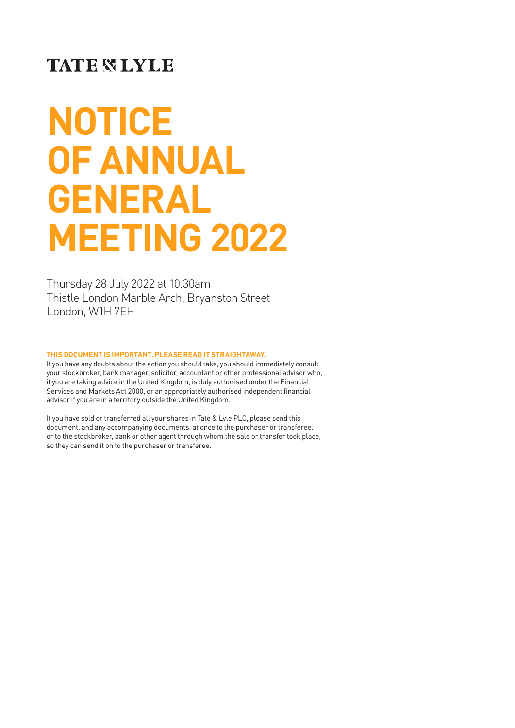### **TATE & LYLE**

# **NOTICE OF ANNUAL GENERAL MEETING 2022**

Thursday 28 July 2022 at 10.30am Thistle London Marble Arch, Bryanston Street London, W1H 7EH

#### **THIS DOCUMENT IS IMPORTANT. PLEASE READ IT STRAIGHTAWAY.**

If you have any doubts about the action you should take, you should immediately consult your stockbroker, bank manager, solicitor, accountant or other professional advisor who, if you are taking advice in the United Kingdom, is duly authorised under the Financial Services and Markets Act 2000, or an appropriately authorised independent financial advisor if you are in a territory outside the United Kingdom.

If you have sold or transferred all your shares in Tate & Lyle PLC, please send this document, and any accompanying documents, at once to the purchaser or transferee, or to the stockbroker, bank or other agent through whom the sale or transfer took place, so they can send it on to the purchaser or transferee.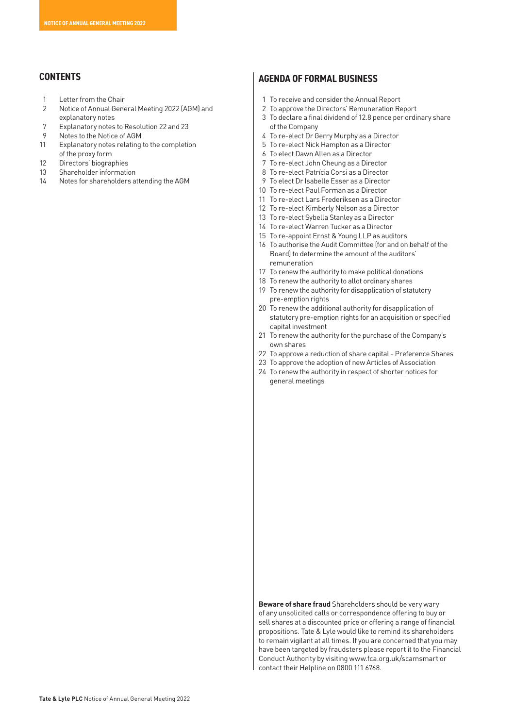#### **CONTENTS**

- 1 Letter from the Chair
- 2 Notice of Annual General Meeting 2022 (AGM) and explanatory notes
- 7 Explanatory notes to Resolution 22 and 23
- 9 Notes to the Notice of AGM
- 11 Explanatory notes relating to the completion of the proxy form
- 12 Directors' biographies
- 13 Shareholder information
- 14 Notes for shareholders attending the AGM

#### **AGENDA OF FORMAL BUSINESS**

- 1 To receive and consider the Annual Report
- 2 To approve the Directors' Remuneration Report
- 3 To declare a final dividend of 12.8 pence per ordinary share of the Company
- 4 To re-elect Dr Gerry Murphy as a Director
- 5 To re-elect Nick Hampton as a Director
- 6 To elect Dawn Allen as a Director
- 7 To re-elect John Cheung as a Director
- 8 To re-elect Patrícia Corsi as a Director
- 9 To elect Dr Isabelle Esser as a Director
- 10 To re-elect Paul Forman as a Director
- 11 To re-elect Lars Frederiksen as a Director
- 12 To re-elect Kimberly Nelson as a Director
- 13 To re-elect Sybella Stanley as a Director
- 14 To re-elect Warren Tucker as a Director
- 15 To re-appoint Ernst & Young LLP as auditors
- 16 To authorise the Audit Committee (for and on behalf of the Board) to determine the amount of the auditors' remuneration
- 17 To renew the authority to make political donations
- 18 To renew the authority to allot ordinary shares
- 19 To renew the authority for disapplication of statutory pre-emption rights
- 20 To renew the additional authority for disapplication of statutory pre-emption rights for an acquisition or specified capital investment
- 21 To renew the authority for the purchase of the Company's own shares
- 22 To approve a reduction of share capital Preference Shares
- 23 To approve the adoption of new Articles of Association
- 24 To renew the authority in respect of shorter notices for general meetings

**Beware of share fraud** Shareholders should be very wary of any unsolicited calls or correspondence offering to buy or sell shares at a discounted price or offering a range of financial propositions. Tate & Lyle would like to remind its shareholders to remain vigilant at all times. If you are concerned that you may have been targeted by fraudsters please report it to the Financial Conduct Authority by visiting www.fca.org.uk/scamsmart or contact their Helpline on 0800 111 6768.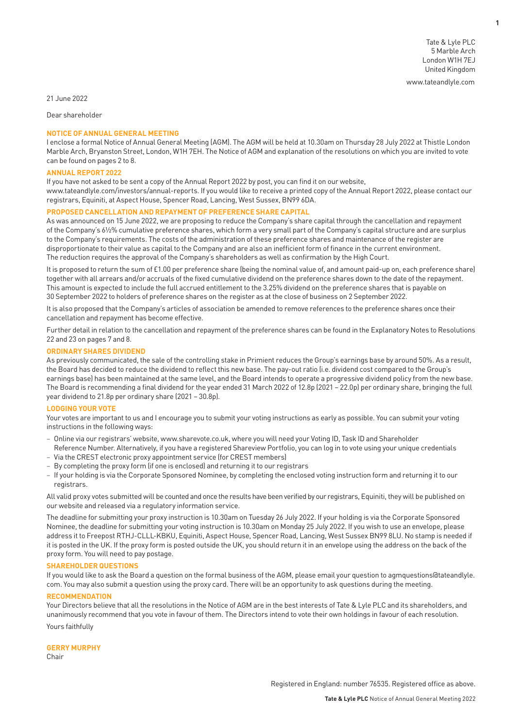**1**

21 June 2022

Dear shareholder

#### **NOTICE OF ANNUAL GENERAL MEETING**

I enclose a formal Notice of Annual General Meeting (AGM). The AGM will be held at 10.30am on Thursday 28 July 2022 at Thistle London Marble Arch, Bryanston Street, London, W1H 7EH. The Notice of AGM and explanation of the resolutions on which you are invited to vote can be found on pages 2 to 8.

#### **ANNUAL REPORT 2022**

If you have not asked to be sent a copy of the Annual Report 2022 by post, you can find it on our website, www.tateandlyle.com/investors/annual-reports. If you would like to receive a printed copy of the Annual Report 2022, please contact our registrars, Equiniti, at Aspect House, Spencer Road, Lancing, West Sussex, BN99 6DA.

#### **PROPOSED CANCELLATION AND REPAYMENT OF PREFERENCE SHARE CAPITAL**

As was announced on 15 June 2022, we are proposing to reduce the Company's share capital through the cancellation and repayment of the Company's 6½% cumulative preference shares, which form a very small part of the Company's capital structure and are surplus to the Company's requirements. The costs of the administration of these preference shares and maintenance of the register are disproportionate to their value as capital to the Company and are also an inefficient form of finance in the current environment. The reduction requires the approval of the Company's shareholders as well as confirmation by the High Court.

It is proposed to return the sum of £1.00 per preference share (being the nominal value of, and amount paid-up on, each preference share) together with all arrears and/or accruals of the fixed cumulative dividend on the preference shares down to the date of the repayment. This amount is expected to include the full accrued entitlement to the 3.25% dividend on the preference shares that is payable on 30 September 2022 to holders of preference shares on the register as at the close of business on 2 September 2022.

It is also proposed that the Company's articles of association be amended to remove references to the preference shares once their cancellation and repayment has become effective.

Further detail in relation to the cancellation and repayment of the preference shares can be found in the Explanatory Notes to Resolutions 22 and 23 on pages 7 and 8.

#### **ORDINARY SHARES DIVIDEND**

As previously communicated, the sale of the controlling stake in Primient reduces the Group's earnings base by around 50%. As a result, the Board has decided to reduce the dividend to reflect this new base. The pay-out ratio (i.e. dividend cost compared to the Group's earnings base) has been maintained at the same level, and the Board intends to operate a progressive dividend policy from the new base. The Board is recommending a final dividend for the year ended 31 March 2022 of 12.8p (2021 – 22.0p) per ordinary share, bringing the full year dividend to 21.8p per ordinary share (2021 – 30.8p).

#### **LODGING YOUR VOTE**

Your votes are important to us and I encourage you to submit your voting instructions as early as possible. You can submit your voting instructions in the following ways:

- Online via our registrars' website, www.sharevote.co.uk, where you will need your Voting ID, Task ID and Shareholder
- Reference Number. Alternatively, if you have a registered Shareview Portfolio, you can log in to vote using your unique credentials – Via the CREST electronic proxy appointment service (for CREST members)
- By completing the proxy form (if one is enclosed) and returning it to our registrars
- If your holding is via the Corporate Sponsored Nominee, by completing the enclosed voting instruction form and returning it to our registrars.

All valid proxy votes submitted will be counted and once the results have been verified by our registrars, Equiniti, they will be published on our website and released via a regulatory information service.

The deadline for submitting your proxy instruction is 10.30am on Tuesday 26 July 2022. If your holding is via the Corporate Sponsored Nominee, the deadline for submitting your voting instruction is 10.30am on Monday 25 July 2022. If you wish to use an envelope, please address it to Freepost RTHJ-CLLL-KBKU, Equiniti, Aspect House, Spencer Road, Lancing, West Sussex BN99 8LU. No stamp is needed if it is posted in the UK. If the proxy form is posted outside the UK, you should return it in an envelope using the address on the back of the proxy form. You will need to pay postage.

#### **SHAREHOLDER QUESTIONS**

If you would like to ask the Board a question on the formal business of the AGM, please email your question to agmquestions@tateandlyle. com. You may also submit a question using the proxy card. There will be an opportunity to ask questions during the meeting.

#### **RECOMMENDATION**

Your Directors believe that all the resolutions in the Notice of AGM are in the best interests of Tate & Lyle PLC and its shareholders, and unanimously recommend that you vote in favour of them. The Directors intend to vote their own holdings in favour of each resolution.

Yours faithfully

#### **GERRY MURPHY**

Chair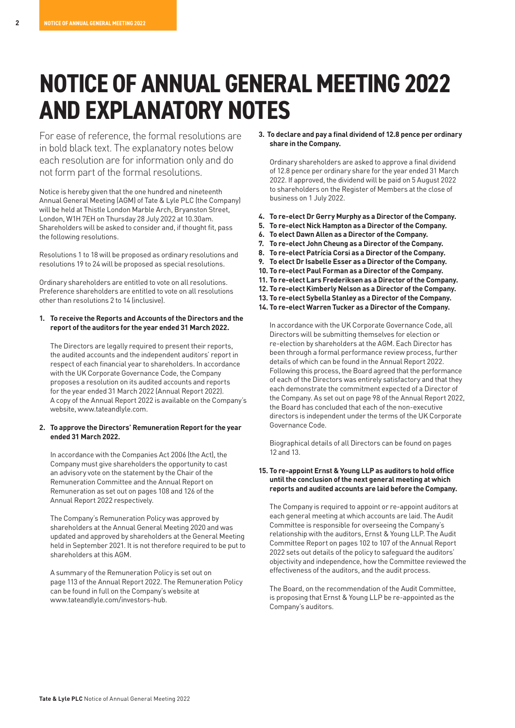## **NOTICE OF ANNUAL GENERAL MEETING 2022 AND EXPLANATORY NOTES**

For ease of reference, the formal resolutions are in bold black text. The explanatory notes below each resolution are for information only and do not form part of the formal resolutions.

Notice is hereby given that the one hundred and nineteenth Annual General Meeting (AGM) of Tate & Lyle PLC (the Company) will be held at Thistle London Marble Arch, Bryanston Street, London, W1H 7EH on Thursday 28 July 2022 at 10.30am. Shareholders will be asked to consider and, if thought fit, pass the following resolutions.

Resolutions 1 to 18 will be proposed as ordinary resolutions and resolutions 19 to 24 will be proposed as special resolutions.

Ordinary shareholders are entitled to vote on all resolutions. Preference shareholders are entitled to vote on all resolutions other than resolutions 2 to 14 (inclusive).

#### **1. To receive the Reports and Accounts of the Directors and the report of the auditors for the year ended 31 March 2022.**

The Directors are legally required to present their reports, the audited accounts and the independent auditors' report in respect of each financial year to shareholders. In accordance with the UK Corporate Governance Code, the Company proposes a resolution on its audited accounts and reports for the year ended 31 March 2022 (Annual Report 2022). A copy of the Annual Report 2022 is available on the Company's website, www.tateandlyle.com.

#### **2. To approve the Directors' Remuneration Report for the year ended 31 March 2022.**

In accordance with the Companies Act 2006 (the Act), the Company must give shareholders the opportunity to cast an advisory vote on the statement by the Chair of the Remuneration Committee and the Annual Report on Remuneration as set out on pages 108 and 126 of the Annual Report 2022 respectively.

The Company's Remuneration Policy was approved by shareholders at the Annual General Meeting 2020 and was updated and approved by shareholders at the General Meeting held in September 2021. It is not therefore required to be put to shareholders at this AGM.

A summary of the Remuneration Policy is set out on page 113 of the Annual Report 2022. The Remuneration Policy can be found in full on the Company's website at www.tateandlyle.com/investors-hub.

**3. To declare and pay a final dividend of 12.8 pence per ordinary share in the Company.**

Ordinary shareholders are asked to approve a final dividend of 12.8 pence per ordinary share for the year ended 31 March 2022. If approved, the dividend will be paid on 5 August 2022 to shareholders on the Register of Members at the close of business on 1 July 2022.

- **4. To re-elect Dr Gerry Murphy as a Director of the Company.**
- **5. To re-elect Nick Hampton as a Director of the Company.**
- **6. To elect Dawn Allen as a Director of the Company.**
- **7. To re-elect John Cheung as a Director of the Company.**
- **8. To re-elect Patrícia Corsi as a Director of the Company.**
- **9. To elect Dr Isabelle Esser as a Director of the Company.**
- **10. To re-elect Paul Forman as a Director of the Company.**
- **11. To re-elect Lars Frederiksen as a Director of the Company.**
- **12. To re-elect Kimberly Nelson as a Director of the Company.**
- **13. To re-elect Sybella Stanley as a Director of the Company.**
- **14. To re-elect Warren Tucker as a Director of the Company.**

In accordance with the UK Corporate Governance Code, all Directors will be submitting themselves for election or re-election by shareholders at the AGM. Each Director has been through a formal performance review process, further details of which can be found in the Annual Report 2022. Following this process, the Board agreed that the performance of each of the Directors was entirely satisfactory and that they each demonstrate the commitment expected of a Director of the Company. As set out on page 98 of the Annual Report 2022, the Board has concluded that each of the non-executive directors is independent under the terms of the UK Corporate Governance Code.

Biographical details of all Directors can be found on pages 12 and 13.

#### **15. To re-appoint Ernst & Young LLP as auditors to hold office until the conclusion of the next general meeting at which reports and audited accounts are laid before the Company.**

The Company is required to appoint or re-appoint auditors at each general meeting at which accounts are laid. The Audit Committee is responsible for overseeing the Company's relationship with the auditors, Ernst & Young LLP. The Audit Committee Report on pages 102 to 107 of the Annual Report 2022 sets out details of the policy to safeguard the auditors' objectivity and independence, how the Committee reviewed the effectiveness of the auditors, and the audit process.

The Board, on the recommendation of the Audit Committee, is proposing that Ernst & Young LLP be re-appointed as the Company's auditors.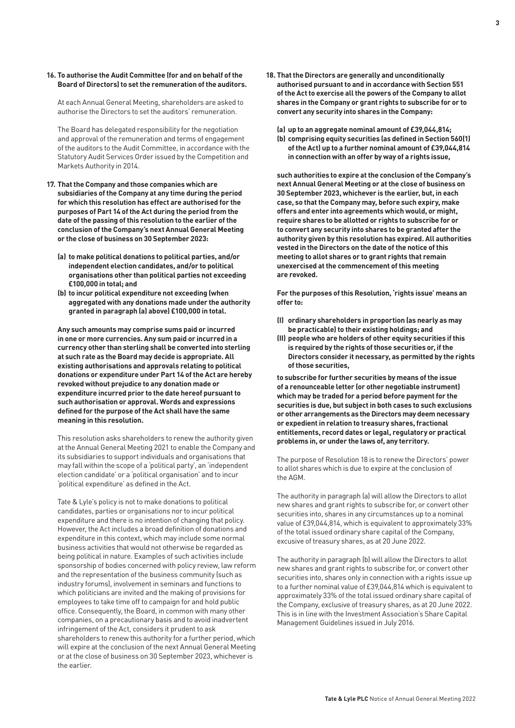#### **16. To authorise the Audit Committee (for and on behalf of the Board of Directors) to set the remuneration of the auditors.**

At each Annual General Meeting, shareholders are asked to authorise the Directors to set the auditors' remuneration.

The Board has delegated responsibility for the negotiation and approval of the remuneration and terms of engagement of the auditors to the Audit Committee, in accordance with the Statutory Audit Services Order issued by the Competition and Markets Authority in 2014.

- **17. That the Company and those companies which are subsidiaries of the Company at any time during the period for which this resolution has effect are authorised for the purposes of Part 14 of the Act during the period from the date of the passing of this resolution to the earlier of the conclusion of the Company's next Annual General Meeting or the close of business on 30 September 2023:**
	- **(a) to make political donations to political parties, and/or independent election candidates, and/or to political organisations other than political parties not exceeding £100,000 in total; and**
	- **(b) to incur political expenditure not exceeding (when aggregated with any donations made under the authority granted in paragraph (a) above) £100,000 in total.**

**Any such amounts may comprise sums paid or incurred in one or more currencies. Any sum paid or incurred in a currency other than sterling shall be converted into sterling at such rate as the Board may decide is appropriate. All existing authorisations and approvals relating to political donations or expenditure under Part 14 of the Act are hereby revoked without prejudice to any donation made or expenditure incurred prior to the date hereof pursuant to such authorisation or approval. Words and expressions defined for the purpose of the Act shall have the same meaning in this resolution.**

This resolution asks shareholders to renew the authority given at the Annual General Meeting 2021 to enable the Company and its subsidiaries to support individuals and organisations that may fall within the scope of a 'political party', an 'independent election candidate' or a 'political organisation' and to incur 'political expenditure' as defined in the Act.

Tate & Lyle's policy is not to make donations to political candidates, parties or organisations nor to incur political expenditure and there is no intention of changing that policy. However, the Act includes a broad definition of donations and expenditure in this context, which may include some normal business activities that would not otherwise be regarded as being political in nature. Examples of such activities include sponsorship of bodies concerned with policy review, law reform and the representation of the business community (such as industry forums), involvement in seminars and functions to which politicians are invited and the making of provisions for employees to take time off to campaign for and hold public office. Consequently, the Board, in common with many other companies, on a precautionary basis and to avoid inadvertent infringement of the Act, considers it prudent to ask shareholders to renew this authority for a further period, which will expire at the conclusion of the next Annual General Meeting or at the close of business on 30 September 2023, whichever is the earlier.

**18. That the Directors are generally and unconditionally authorised pursuant to and in accordance with Section 551 of the Act to exercise all the powers of the Company to allot shares in the Company or grant rights to subscribe for or to convert any security into shares in the Company:**

**(a) up to an aggregate nominal amount of £39,044,814;**

**(b) comprising equity securities (as defined in Section 560(1) of the Act) up to a further nominal amount of £39,044,814 in connection with an offer by way of a rights issue,**

**such authorities to expire at the conclusion of the Company's next Annual General Meeting or at the close of business on 30 September 2023, whichever is the earlier, but, in each case, so that the Company may, before such expiry, make offers and enter into agreements which would, or might, require shares to be allotted or rights to subscribe for or to convert any security into shares to be granted after the authority given by this resolution has expired. All authorities vested in the Directors on the date of the notice of this meeting to allot shares or to grant rights that remain unexercised at the commencement of this meeting are revoked.**

**For the purposes of this Resolution, 'rights issue' means an offer to:**

- **(I) ordinary shareholders in proportion (as nearly as may be practicable) to their existing holdings; and**
- **(II) people who are holders of other equity securities if this is required by the rights of those securities or, if the Directors consider it necessary, as permitted by the rights of those securities,**

**to subscribe for further securities by means of the issue of a renounceable letter (or other negotiable instrument) which may be traded for a period before payment for the securities is due, but subject in both cases to such exclusions or other arrangements as the Directors may deem necessary or expedient in relation to treasury shares, fractional entitlements, record dates or legal, regulatory or practical problems in, or under the laws of, any territory.** 

The purpose of Resolution 18 is to renew the Directors' power to allot shares which is due to expire at the conclusion of the AGM.

The authority in paragraph (a) will allow the Directors to allot new shares and grant rights to subscribe for, or convert other securities into, shares in any circumstances up to a nominal value of £39,044,814, which is equivalent to approximately 33% of the total issued ordinary share capital of the Company, excusive of treasury shares, as at 20 June 2022.

The authority in paragraph (b) will allow the Directors to allot new shares and grant rights to subscribe for, or convert other securities into, shares only in connection with a rights issue up to a further nominal value of £39,044,814 which is equivalent to approximately 33% of the total issued ordinary share capital of the Company, exclusive of treasury shares, as at 20 June 2022. This is in line with the Investment Association's Share Capital Management Guidelines issued in July 2016.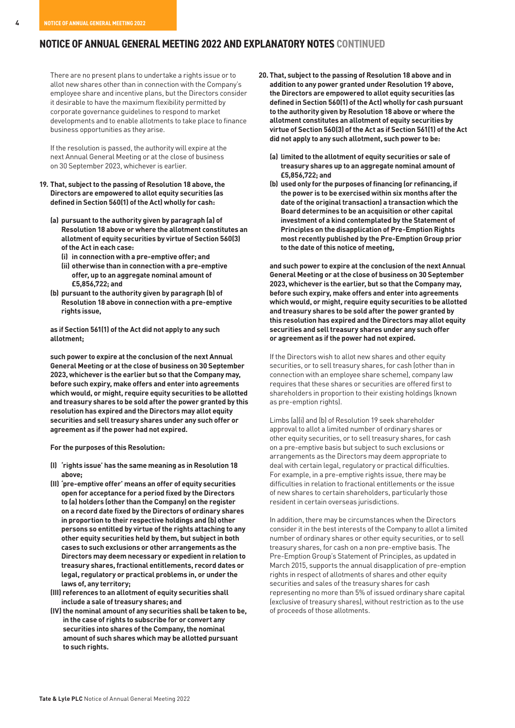#### **NOTICE OF ANNUAL GENERAL MEETING 2022 AND EXPLANATORY NOTES CONTINUED**

There are no present plans to undertake a rights issue or to allot new shares other than in connection with the Company's employee share and incentive plans, but the Directors consider it desirable to have the maximum flexibility permitted by corporate governance guidelines to respond to market developments and to enable allotments to take place to finance business opportunities as they arise.

If the resolution is passed, the authority will expire at the next Annual General Meeting or at the close of business on 30 September 2023, whichever is earlier.

#### **19. That, subject to the passing of Resolution 18 above, the Directors are empowered to allot equity securities (as defined in Section 560(1) of the Act) wholly for cash:**

- **(a) pursuant to the authority given by paragraph (a) of Resolution 18 above or where the allotment constitutes an allotment of equity securities by virtue of Section 560(3) of the Act in each case:**
	- **(i) in connection with a pre-emptive offer; and**
	- **(ii) otherwise than in connection with a pre-emptive offer, up to an aggregate nominal amount of £5,856,722; and**
- **(b) pursuant to the authority given by paragraph (b) of Resolution 18 above in connection with a pre-emptive rights issue,**

**as if Section 561(1) of the Act did not apply to any such allotment;**

**such power to expire at the conclusion of the next Annual General Meeting or at the close of business on 30 September 2023, whichever is the earlier but so that the Company may, before such expiry, make offers and enter into agreements which would, or might, require equity securities to be allotted and treasury shares to be sold after the power granted by this resolution has expired and the Directors may allot equity securities and sell treasury shares under any such offer or agreement as if the power had not expired.**

**For the purposes of this Resolution:**

- **(I) 'rights issue' has the same meaning as in Resolution 18 above;**
- **(II) 'pre-emptive offer' means an offer of equity securities open for acceptance for a period fixed by the Directors to (a) holders (other than the Company) on the register on a record date fixed by the Directors of ordinary shares in proportion to their respective holdings and (b) other persons so entitled by virtue of the rights attaching to any other equity securities held by them, but subject in both cases to such exclusions or other arrangements as the Directors may deem necessary or expedient in relation to treasury shares, fractional entitlements, record dates or legal, regulatory or practical problems in, or under the laws of, any territory;**
- **(III) references to an allotment of equity securities shall include a sale of treasury shares; and**
- **(IV) the nominal amount of any securities shall be taken to be, in the case of rights to subscribe for or convert any securities into shares of the Company, the nominal amount of such shares which may be allotted pursuant to such rights.**
- **20. That, subject to the passing of Resolution 18 above and in addition to any power granted under Resolution 19 above, the Directors are empowered to allot equity securities (as defined in Section 560(1) of the Act) wholly for cash pursuant to the authority given by Resolution 18 above or where the allotment constitutes an allotment of equity securities by virtue of Section 560(3) of the Act as if Section 561(1) of the Act did not apply to any such allotment, such power to be:**
	- **(a) limited to the allotment of equity securities or sale of treasury shares up to an aggregate nominal amount of £5,856,722; and**
	- **(b) used only for the purposes of financing (or refinancing, if the power is to be exercised within six months after the date of the original transaction) a transaction which the Board determines to be an acquisition or other capital investment of a kind contemplated by the Statement of Principles on the disapplication of Pre-Emption Rights most recently published by the Pre-Emption Group prior to the date of this notice of meeting,**

**and such power to expire at the conclusion of the next Annual General Meeting or at the close of business on 30 September 2023, whichever is the earlier, but so that the Company may, before such expiry, make offers and enter into agreements which would, or might, require equity securities to be allotted and treasury shares to be sold after the power granted by this resolution has expired and the Directors may allot equity securities and sell treasury shares under any such offer or agreement as if the power had not expired.**

If the Directors wish to allot new shares and other equity securities, or to sell treasury shares, for cash (other than in connection with an employee share scheme), company law requires that these shares or securities are offered first to shareholders in proportion to their existing holdings (known as pre-emption rights).

Limbs (a)(i) and (b) of Resolution 19 seek shareholder approval to allot a limited number of ordinary shares or other equity securities, or to sell treasury shares, for cash on a pre-emptive basis but subject to such exclusions or arrangements as the Directors may deem appropriate to deal with certain legal, regulatory or practical difficulties. For example, in a pre-emptive rights issue, there may be difficulties in relation to fractional entitlements or the issue of new shares to certain shareholders, particularly those resident in certain overseas jurisdictions.

In addition, there may be circumstances when the Directors consider it in the best interests of the Company to allot a limited number of ordinary shares or other equity securities, or to sell treasury shares, for cash on a non pre-emptive basis. The Pre-Emption Group's Statement of Principles, as updated in March 2015, supports the annual disapplication of pre-emption rights in respect of allotments of shares and other equity securities and sales of the treasury shares for cash representing no more than 5% of issued ordinary share capital (exclusive of treasury shares), without restriction as to the use of proceeds of those allotments.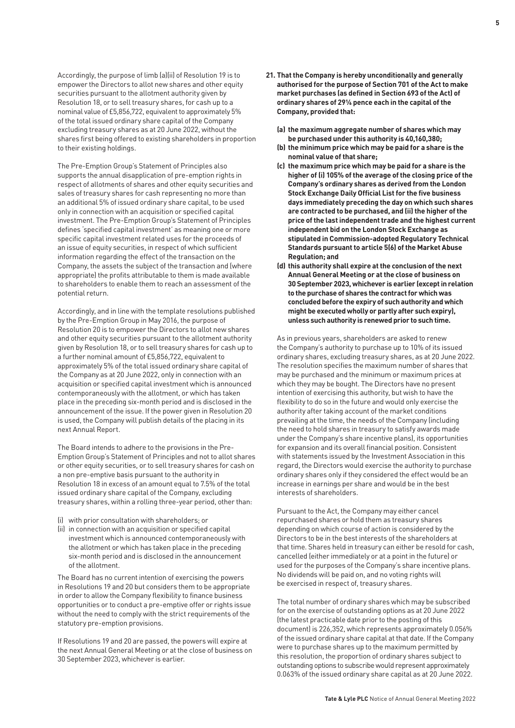Accordingly, the purpose of limb (a)(ii) of Resolution 19 is to empower the Directors to allot new shares and other equity securities pursuant to the allotment authority given by Resolution 18, or to sell treasury shares, for cash up to a nominal value of £5,856,722, equivalent to approximately 5% of the total issued ordinary share capital of the Company excluding treasury shares as at 20 June 2022, without the shares first being offered to existing shareholders in proportion to their existing holdings.

The Pre-Emption Group's Statement of Principles also supports the annual disapplication of pre-emption rights in respect of allotments of shares and other equity securities and sales of treasury shares for cash representing no more than an additional 5% of issued ordinary share capital, to be used only in connection with an acquisition or specified capital investment. The Pre-Emption Group's Statement of Principles defines 'specified capital investment' as meaning one or more specific capital investment related uses for the proceeds of an issue of equity securities, in respect of which sufficient information regarding the effect of the transaction on the Company, the assets the subject of the transaction and (where appropriate) the profits attributable to them is made available to shareholders to enable them to reach an assessment of the potential return.

Accordingly, and in line with the template resolutions published by the Pre-Emption Group in May 2016, the purpose of Resolution 20 is to empower the Directors to allot new shares and other equity securities pursuant to the allotment authority given by Resolution 18, or to sell treasury shares for cash up to a further nominal amount of £5,856,722, equivalent to approximately 5% of the total issued ordinary share capital of the Company as at 20 June 2022, only in connection with an acquisition or specified capital investment which is announced contemporaneously with the allotment, or which has taken place in the preceding six-month period and is disclosed in the announcement of the issue. If the power given in Resolution 20 is used, the Company will publish details of the placing in its next Annual Report.

The Board intends to adhere to the provisions in the Pre-Emption Group's Statement of Principles and not to allot shares or other equity securities, or to sell treasury shares for cash on a non pre-emptive basis pursuant to the authority in Resolution 18 in excess of an amount equal to 7.5% of the total issued ordinary share capital of the Company, excluding treasury shares, within a rolling three-year period, other than:

- (i) with prior consultation with shareholders; or
- (ii) in connection with an acquisition or specified capital investment which is announced contemporaneously with the allotment or which has taken place in the preceding six-month period and is disclosed in the announcement of the allotment.

The Board has no current intention of exercising the powers in Resolutions 19 and 20 but considers them to be appropriate in order to allow the Company flexibility to finance business opportunities or to conduct a pre-emptive offer or rights issue without the need to comply with the strict requirements of the statutory pre-emption provisions.

If Resolutions 19 and 20 are passed, the powers will expire at the next Annual General Meeting or at the close of business on 30 September 2023, whichever is earlier.

- **21. That the Company is hereby unconditionally and generally authorised for the purpose of Section 701 of the Act to make market purchases (as defined in Section 693 of the Act) of ordinary shares of 291/6 pence each in the capital of the Company, provided that:**
	- **(a) the maximum aggregate number of shares which may be purchased under this authority is 40,160,380;**
	- **(b) the minimum price which may be paid for a share is the nominal value of that share;**
	- **(c) the maximum price which may be paid for a share is the higher of (i) 105% of the average of the closing price of the Company's ordinary shares as derived from the London Stock Exchange Daily Official List for the five business days immediately preceding the day on which such shares are contracted to be purchased, and (ii) the higher of the price of the last independent trade and the highest current independent bid on the London Stock Exchange as stipulated in Commission-adopted Regulatory Technical Standards pursuant to article 5(6) of the Market Abuse Regulation; and**
	- **(d) this authority shall expire at the conclusion of the next Annual General Meeting or at the close of business on 30 September 2023, whichever is earlier (except in relation to the purchase of shares the contract for which was concluded before the expiry of such authority and which might be executed wholly or partly after such expiry), unless such authority is renewed prior to such time.**

As in previous years, shareholders are asked to renew the Company's authority to purchase up to 10% of its issued ordinary shares, excluding treasury shares, as at 20 June 2022. The resolution specifies the maximum number of shares that may be purchased and the minimum or maximum prices at which they may be bought. The Directors have no present intention of exercising this authority, but wish to have the flexibility to do so in the future and would only exercise the authority after taking account of the market conditions prevailing at the time, the needs of the Company (including the need to hold shares in treasury to satisfy awards made under the Company's share incentive plans), its opportunities for expansion and its overall financial position. Consistent with statements issued by the Investment Association in this regard, the Directors would exercise the authority to purchase ordinary shares only if they considered the effect would be an increase in earnings per share and would be in the best interests of shareholders.

Pursuant to the Act, the Company may either cancel repurchased shares or hold them as treasury shares depending on which course of action is considered by the Directors to be in the best interests of the shareholders at that time. Shares held in treasury can either be resold for cash, cancelled (either immediately or at a point in the future) or used for the purposes of the Company's share incentive plans. No dividends will be paid on, and no voting rights will be exercised in respect of, treasury shares.

The total number of ordinary shares which may be subscribed for on the exercise of outstanding options as at 20 June 2022 (the latest practicable date prior to the posting of this document) is 226,352, which represents approximately 0.056% of the issued ordinary share capital at that date. If the Company were to purchase shares up to the maximum permitted by this resolution, the proportion of ordinary shares subject to outstanding options to subscribe would represent approximately 0.063% of the issued ordinary share capital as at 20 June 2022.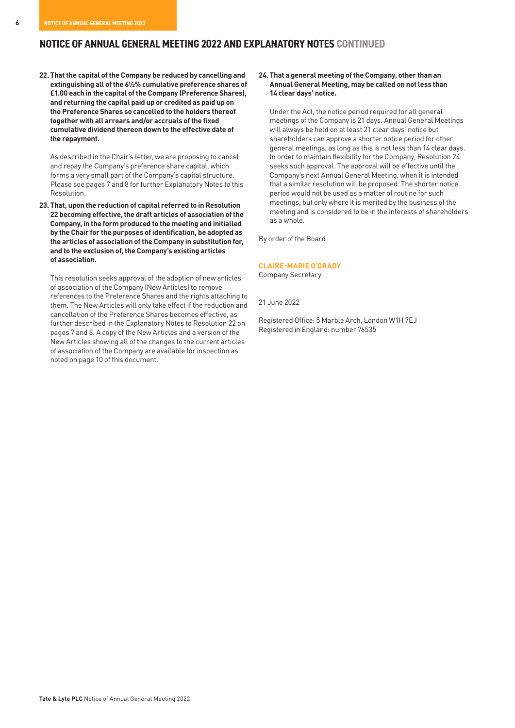#### **NOTICE OF ANNUAL GENERAL MEETING 2022 AND EXPLANATORY NOTES CONTINUED**

**22.That the capital of the Company be reduced by cancelling and extinguishing all of the 6½% cumulative preference shares of £1.00 each in the capital of the Company (Preference Shares), and returning the capital paid up or credited as paid up on the Preference Shares so cancelled to the holders thereof together with all arrears and/or accruals of the fixed cumulative dividend thereon down to the effective date of the repayment.**

 As described in the Chair's letter, we are proposing to cancel and repay the Company's preference share capital, which forms a very small part of the Company's capital structure. Please see pages 7 and 8 for further Explanatory Notes to this Resolution.

**23. That, upon the reduction of capital referred to in Resolution 22 becoming effective, the draft articles of association of the Company, in the form produced to the meeting and initialled by the Chair for the purposes of identification, be adopted as the articles of association of the Company in substitution for, and to the exclusion of, the Company's existing articles of association.**

 This resolution seeks approval of the adoption of new articles of association of the Company (New Articles) to remove references to the Preference Shares and the rights attaching to them. The New Articles will only take effect if the reduction and cancellation of the Preference Shares becomes effective, as further described in the Explanatory Notes to Resolution 22 on pages 7 and 8. A copy of the New Articles and a version of the New Articles showing all of the changes to the current articles of association of the Company are available for inspection as noted on page 10 of this document.

#### **24.That a general meeting of the Company, other than an Annual General Meeting, may be called on not less than 14 clear days' notice.**

Under the Act, the notice period required for all general meetings of the Company is 21 days. Annual General Meetings will always be held on at least 21 clear days' notice but shareholders can approve a shorter notice period for other general meetings, as long as this is not less than 14 clear days. In order to maintain flexibility for the Company, Resolution 24 seeks such approval. The approval will be effective until the Company's next Annual General Meeting, when it is intended that a similar resolution will be proposed. The shorter notice period would not be used as a matter of routine for such meetings, but only where it is merited by the business of the meeting and is considered to be in the interests of shareholders as a whole.

By order of the Board

#### **CLAIRE-MARIE O'GRADY**

Company Secretary

21 June 2022

Registered Office: 5 Marble Arch, London W1H 7EJ Registered in England: number 76535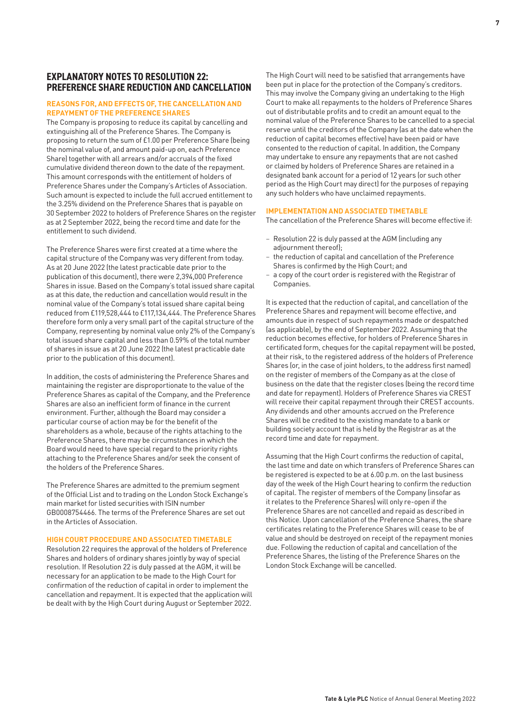#### **EXPLANATORY NOTES TO RESOLUTION 22: PREFERENCE SHARE REDUCTION AND CANCELLATION**

#### **REASONS FOR, AND EFFECTS OF, THE CANCELLATION AND REPAYMENT OF THE PREFERENCE SHARES**

The Company is proposing to reduce its capital by cancelling and extinguishing all of the Preference Shares. The Company is proposing to return the sum of £1.00 per Preference Share (being the nominal value of, and amount paid-up on, each Preference Share) together with all arrears and/or accruals of the fixed cumulative dividend thereon down to the date of the repayment. This amount corresponds with the entitlement of holders of Preference Shares under the Company's Articles of Association. Such amount is expected to include the full accrued entitlement to the 3.25% dividend on the Preference Shares that is payable on 30 September 2022 to holders of Preference Shares on the register as at 2 September 2022, being the record time and date for the entitlement to such dividend.

The Preference Shares were first created at a time where the capital structure of the Company was very different from today. As at 20 June 2022 (the latest practicable date prior to the publication of this document), there were 2,394,000 Preference Shares in issue. Based on the Company's total issued share capital as at this date, the reduction and cancellation would result in the nominal value of the Company's total issued share capital being reduced from £119,528,444 to £117,134,444. The Preference Shares therefore form only a very small part of the capital structure of the Company, representing by nominal value only 2% of the Company's total issued share capital and less than 0.59% of the total number of shares in issue as at 20 June 2022 (the latest practicable date prior to the publication of this document).

In addition, the costs of administering the Preference Shares and maintaining the register are disproportionate to the value of the Preference Shares as capital of the Company, and the Preference Shares are also an inefficient form of finance in the current environment. Further, although the Board may consider a particular course of action may be for the benefit of the shareholders as a whole, because of the rights attaching to the Preference Shares, there may be circumstances in which the Board would need to have special regard to the priority rights attaching to the Preference Shares and/or seek the consent of the holders of the Preference Shares.

The Preference Shares are admitted to the premium segment of the Official List and to trading on the London Stock Exchange's main market for listed securities with ISIN number GB0008754466. The terms of the Preference Shares are set out in the Articles of Association.

#### **HIGH COURT PROCEDURE AND ASSOCIATED TIMETABLE**

Resolution 22 requires the approval of the holders of Preference Shares and holders of ordinary shares jointly by way of special resolution. If Resolution 22 is duly passed at the AGM, it will be necessary for an application to be made to the High Court for confirmation of the reduction of capital in order to implement the cancellation and repayment. It is expected that the application will be dealt with by the High Court during August or September 2022.

The High Court will need to be satisfied that arrangements have been put in place for the protection of the Company's creditors. This may involve the Company giving an undertaking to the High Court to make all repayments to the holders of Preference Shares out of distributable profits and to credit an amount equal to the nominal value of the Preference Shares to be cancelled to a special reserve until the creditors of the Company (as at the date when the reduction of capital becomes effective) have been paid or have consented to the reduction of capital. In addition, the Company may undertake to ensure any repayments that are not cashed or claimed by holders of Preference Shares are retained in a designated bank account for a period of 12 years (or such other period as the High Court may direct) for the purposes of repaying any such holders who have unclaimed repayments.

#### **IMPLEMENTATION AND ASSOCIATED TIMETABLE**

The cancellation of the Preference Shares will become effective if:

- Resolution 22 is duly passed at the AGM (including any adjournment thereof);
- the reduction of capital and cancellation of the Preference Shares is confirmed by the High Court; and
- a copy of the court order is registered with the Registrar of Companies.

It is expected that the reduction of capital, and cancellation of the Preference Shares and repayment will become effective, and amounts due in respect of such repayments made or despatched (as applicable), by the end of September 2022. Assuming that the reduction becomes effective, for holders of Preference Shares in certificated form, cheques for the capital repayment will be posted, at their risk, to the registered address of the holders of Preference Shares (or, in the case of joint holders, to the address first named) on the register of members of the Company as at the close of business on the date that the register closes (being the record time and date for repayment). Holders of Preference Shares via CREST will receive their capital repayment through their CREST accounts. Any dividends and other amounts accrued on the Preference Shares will be credited to the existing mandate to a bank or building society account that is held by the Registrar as at the record time and date for repayment.

Assuming that the High Court confirms the reduction of capital, the last time and date on which transfers of Preference Shares can be registered is expected to be at 6.00 p.m. on the last business day of the week of the High Court hearing to confirm the reduction of capital. The register of members of the Company (insofar as it relates to the Preference Shares) will only re-open if the Preference Shares are not cancelled and repaid as described in this Notice. Upon cancellation of the Preference Shares, the share certificates relating to the Preference Shares will cease to be of value and should be destroyed on receipt of the repayment monies due. Following the reduction of capital and cancellation of the Preference Shares, the listing of the Preference Shares on the London Stock Exchange will be cancelled.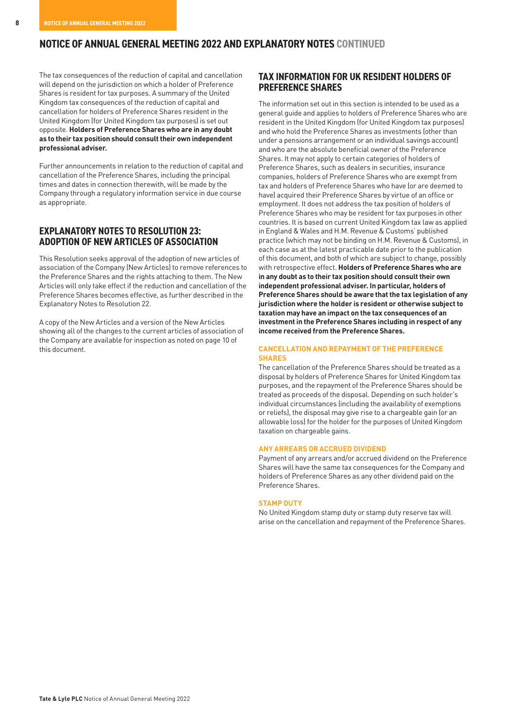### **NOTICE OF ANNUAL GENERAL MEETING 2022 AND EXPLANATORY NOTES CONTINUED**

The tax consequences of the reduction of capital and cancellation will depend on the jurisdiction on which a holder of Preference Shares is resident for tax purposes. A summary of the United Kingdom tax consequences of the reduction of capital and cancellation for holders of Preference Shares resident in the United Kingdom (for United Kingdom tax purposes) is set out opposite. **Holders of Preference Shares who are in any doubt as to their tax position should consult their own independent professional adviser.**

Further announcements in relation to the reduction of capital and cancellation of the Preference Shares, including the principal times and dates in connection therewith, will be made by the Company through a regulatory information service in due course as appropriate.

#### **EXPLANATORY NOTES TO RESOLUTION 23: ADOPTION OF NEW ARTICLES OF ASSOCIATION**

This Resolution seeks approval of the adoption of new articles of association of the Company (New Articles) to remove references to the Preference Shares and the rights attaching to them. The New Articles will only take effect if the reduction and cancellation of the Preference Shares becomes effective, as further described in the Explanatory Notes to Resolution 22.

A copy of the New Articles and a version of the New Articles showing all of the changes to the current articles of association of the Company are available for inspection as noted on page 10 of this document.

#### **TAX INFORMATION FOR UK RESIDENT HOLDERS OF PREFERENCE SHARES**

The information set out in this section is intended to be used as a general guide and applies to holders of Preference Shares who are resident in the United Kingdom (for United Kingdom tax purposes) and who hold the Preference Shares as investments (other than under a pensions arrangement or an individual savings account) and who are the absolute beneficial owner of the Preference Shares. It may not apply to certain categories of holders of Preference Shares, such as dealers in securities, insurance companies, holders of Preference Shares who are exempt from tax and holders of Preference Shares who have (or are deemed to have) acquired their Preference Shares by virtue of an office or employment. It does not address the tax position of holders of Preference Shares who may be resident for tax purposes in other countries. It is based on current United Kingdom tax law as applied in England & Wales and H.M. Revenue & Customs' published practice (which may not be binding on H.M. Revenue & Customs), in each case as at the latest practicable date prior to the publication of this document, and both of which are subject to change, possibly with retrospective effect. **Holders of Preference Shares who are in any doubt as to their tax position should consult their own independent professional adviser. In particular, holders of Preference Shares should be aware that the tax legislation of any jurisdiction where the holder is resident or otherwise subject to taxation may have an impact on the tax consequences of an investment in the Preference Shares including in respect of any income received from the Preference Shares.** 

#### **CANCELLATION AND REPAYMENT OF THE PREFERENCE SHARES**

The cancellation of the Preference Shares should be treated as a disposal by holders of Preference Shares for United Kingdom tax purposes, and the repayment of the Preference Shares should be treated as proceeds of the disposal. Depending on such holder's individual circumstances (including the availability of exemptions or reliefs), the disposal may give rise to a chargeable gain (or an allowable loss) for the holder for the purposes of United Kingdom taxation on chargeable gains.

#### **ANY ARREARS OR ACCRUED DIVIDEND**

Payment of any arrears and/or accrued dividend on the Preference Shares will have the same tax consequences for the Company and holders of Preference Shares as any other dividend paid on the Preference Shares.

#### **STAMP DUTY**

No United Kingdom stamp duty or stamp duty reserve tax will arise on the cancellation and repayment of the Preference Shares.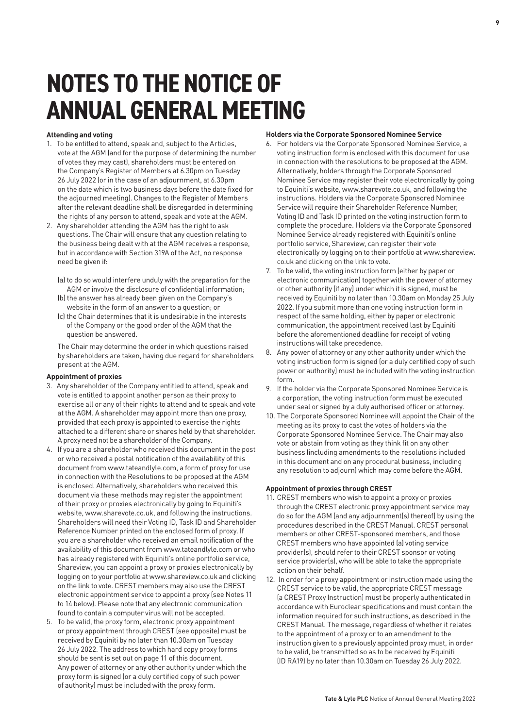## **NOTES TO THE NOTICE OF ANNUAL GENERAL MEETING**

#### **Attending and voting**

- 1. To be entitled to attend, speak and, subject to the Articles, vote at the AGM (and for the purpose of determining the number of votes they may cast), shareholders must be entered on the Company's Register of Members at 6.30pm on Tuesday 26 July 2022 (or in the case of an adjournment, at 6.30pm on the date which is two business days before the date fixed for the adjourned meeting). Changes to the Register of Members after the relevant deadline shall be disregarded in determining the rights of any person to attend, speak and vote at the AGM.
- 2. Any shareholder attending the AGM has the right to ask questions. The Chair will ensure that any question relating to the business being dealt with at the AGM receives a response, but in accordance with Section 319A of the Act, no response need be given if:
	- (a) to do so would interfere unduly with the preparation for the AGM or involve the disclosure of confidential information;
	- (b) the answer has already been given on the Company's website in the form of an answer to a question; or
	- (c) the Chair determines that it is undesirable in the interests of the Company or the good order of the AGM that the question be answered.

 The Chair may determine the order in which questions raised by shareholders are taken, having due regard for shareholders present at the AGM.

#### **Appointment of proxies**

- 3. Any shareholder of the Company entitled to attend, speak and vote is entitled to appoint another person as their proxy to exercise all or any of their rights to attend and to speak and vote at the AGM. A shareholder may appoint more than one proxy, provided that each proxy is appointed to exercise the rights attached to a different share or shares held by that shareholder. A proxy need not be a shareholder of the Company.
- 4. If you are a shareholder who received this document in the post or who received a postal notification of the availability of this document from www.tateandlyle.com, a form of proxy for use in connection with the Resolutions to be proposed at the AGM is enclosed. Alternatively, shareholders who received this document via these methods may register the appointment of their proxy or proxies electronically by going to Equiniti's website, www.sharevote.co.uk, and following the instructions. Shareholders will need their Voting ID, Task ID and Shareholder Reference Number printed on the enclosed form of proxy. If you are a shareholder who received an email notification of the availability of this document from www.tateandlyle.com or who has already registered with Equiniti's online portfolio service, Shareview, you can appoint a proxy or proxies electronically by logging on to your portfolio at www.shareview.co.uk and clicking on the link to vote. CREST members may also use the CREST electronic appointment service to appoint a proxy (see Notes 11 to 14 below). Please note that any electronic communication found to contain a computer virus will not be accepted.
- 5. To be valid, the proxy form, electronic proxy appointment or proxy appointment through CREST (see opposite) must be received by Equiniti by no later than 10.30am on Tuesday 26 July 2022. The address to which hard copy proxy forms should be sent is set out on page 11 of this document. Any power of attorney or any other authority under which the proxy form is signed (or a duly certified copy of such power of authority) must be included with the proxy form.

#### **Holders via the Corporate Sponsored Nominee Service**

- 6. For holders via the Corporate Sponsored Nominee Service, a voting instruction form is enclosed with this document for use in connection with the resolutions to be proposed at the AGM. Alternatively, holders through the Corporate Sponsored Nominee Service may register their vote electronically by going to Equiniti's website, www.sharevote.co.uk, and following the instructions. Holders via the Corporate Sponsored Nominee Service will require their Shareholder Reference Number, Voting ID and Task ID printed on the voting instruction form to complete the procedure. Holders via the Corporate Sponsored Nominee Service already registered with Equiniti's online portfolio service, Shareview, can register their vote electronically by logging on to their portfolio at www.shareview. co.uk and clicking on the link to vote.
- 7. To be valid, the voting instruction form (either by paper or electronic communication) together with the power of attorney or other authority (if any) under which it is signed, must be received by Equiniti by no later than 10.30am on Monday 25 July 2022. If you submit more than one voting instruction form in respect of the same holding, either by paper or electronic communication, the appointment received last by Equiniti before the aforementioned deadline for receipt of voting instructions will take precedence.
- 8. Any power of attorney or any other authority under which the voting instruction form is signed (or a duly certified copy of such power or authority) must be included with the voting instruction form.
- 9. If the holder via the Corporate Sponsored Nominee Service is a corporation, the voting instruction form must be executed under seal or signed by a duly authorised officer or attorney.
- 10. The Corporate Sponsored Nominee will appoint the Chair of the meeting as its proxy to cast the votes of holders via the Corporate Sponsored Nominee Service. The Chair may also vote or abstain from voting as they think fit on any other business (including amendments to the resolutions included in this document and on any procedural business, including any resolution to adjourn) which may come before the AGM.

#### **Appointment of proxies through CREST**

- 11. CREST members who wish to appoint a proxy or proxies through the CREST electronic proxy appointment service may do so for the AGM (and any adjournment(s) thereof) by using the procedures described in the CREST Manual. CREST personal members or other CREST-sponsored members, and those CREST members who have appointed (a) voting service provider(s), should refer to their CREST sponsor or voting service provider(s), who will be able to take the appropriate action on their behalf.
- 12. In order for a proxy appointment or instruction made using the CREST service to be valid, the appropriate CREST message (a CREST Proxy Instruction) must be properly authenticated in accordance with Euroclear specifications and must contain the information required for such instructions, as described in the CREST Manual. The message, regardless of whether it relates to the appointment of a proxy or to an amendment to the instruction given to a previously appointed proxy must, in order to be valid, be transmitted so as to be received by Equiniti (ID RA19) by no later than 10.30am on Tuesday 26 July 2022.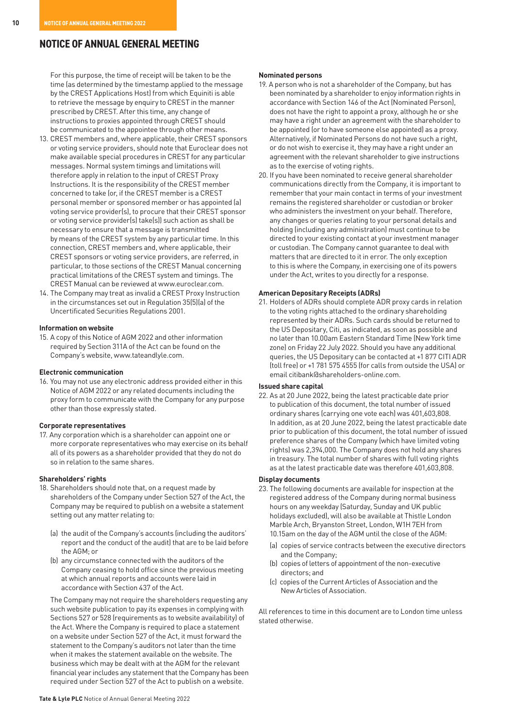### **NOTICE OF ANNUAL GENERAL MEETING**

For this purpose, the time of receipt will be taken to be the time (as determined by the timestamp applied to the message by the CREST Applications Host) from which Equiniti is able to retrieve the message by enquiry to CREST in the manner prescribed by CREST. After this time, any change of instructions to proxies appointed through CREST should be communicated to the appointee through other means.

- 13. CREST members and, where applicable, their CREST sponsors or voting service providers, should note that Euroclear does not make available special procedures in CREST for any particular messages. Normal system timings and limitations will therefore apply in relation to the input of CREST Proxy Instructions. It is the responsibility of the CREST member concerned to take (or, if the CREST member is a CREST personal member or sponsored member or has appointed (a) voting service provider(s), to procure that their CREST sponsor or voting service provider(s) take(s)) such action as shall be necessary to ensure that a message is transmitted by means of the CREST system by any particular time. In this connection, CREST members and, where applicable, their CREST sponsors or voting service providers, are referred, in particular, to those sections of the CREST Manual concerning practical limitations of the CREST system and timings. The CREST Manual can be reviewed at www.euroclear.com.
- 14. The Company may treat as invalid a CREST Proxy Instruction in the circumstances set out in Regulation 35(5)(a) of the Uncertificated Securities Regulations 2001.

#### **Information on website**

15. A copy of this Notice of AGM 2022 and other information required by Section 311A of the Act can be found on the Company's website, www.tateandlyle.com.

#### **Electronic communication**

16. You may not use any electronic address provided either in this Notice of AGM 2022 or any related documents including the proxy form to communicate with the Company for any purpose other than those expressly stated.

#### **Corporate representatives**

17. Any corporation which is a shareholder can appoint one or more corporate representatives who may exercise on its behalf all of its powers as a shareholder provided that they do not do so in relation to the same shares.

#### **Shareholders' rights**

- 18. Shareholders should note that, on a request made by shareholders of the Company under Section 527 of the Act, the Company may be required to publish on a website a statement setting out any matter relating to:
	- (a) the audit of the Company's accounts (including the auditors' report and the conduct of the audit) that are to be laid before the AGM; or
	- (b) any circumstance connected with the auditors of the Company ceasing to hold office since the previous meeting at which annual reports and accounts were laid in accordance with Section 437 of the Act.

 The Company may not require the shareholders requesting any such website publication to pay its expenses in complying with Sections 527 or 528 (requirements as to website availability) of the Act. Where the Company is required to place a statement on a website under Section 527 of the Act, it must forward the statement to the Company's auditors not later than the time when it makes the statement available on the website. The business which may be dealt with at the AGM for the relevant financial year includes any statement that the Company has been required under Section 527 of the Act to publish on a website.

#### **Nominated persons**

- 19. A person who is not a shareholder of the Company, but has been nominated by a shareholder to enjoy information rights in accordance with Section 146 of the Act (Nominated Person), does not have the right to appoint a proxy, although he or she may have a right under an agreement with the shareholder to be appointed (or to have someone else appointed) as a proxy. Alternatively, if Nominated Persons do not have such a right, or do not wish to exercise it, they may have a right under an agreement with the relevant shareholder to give instructions as to the exercise of voting rights.
- 20. If you have been nominated to receive general shareholder communications directly from the Company, it is important to remember that your main contact in terms of your investment remains the registered shareholder or custodian or broker who administers the investment on your behalf. Therefore, any changes or queries relating to your personal details and holding (including any administration) must continue to be directed to your existing contact at your investment manager or custodian. The Company cannot guarantee to deal with matters that are directed to it in error. The only exception to this is where the Company, in exercising one of its powers under the Act, writes to you directly for a response.

#### **American Depositary Receipts (ADRs)**

21. Holders of ADRs should complete ADR proxy cards in relation to the voting rights attached to the ordinary shareholding represented by their ADRs. Such cards should be returned to the US Depositary, Citi, as indicated, as soon as possible and no later than 10.00am Eastern Standard Time (New York time zone) on Friday 22 July 2022. Should you have any additional queries, the US Depositary can be contacted at +1 877 CITI ADR (toll free) or +1 781 575 4555 (for calls from outside the USA) or email citibank@shareholders-online.com.

#### **Issued share capital**

22. As at 20 June 2022, being the latest practicable date prior to publication of this document, the total number of issued ordinary shares (carrying one vote each) was 401,603,808. In addition, as at 20 June 2022, being the latest practicable date prior to publication of this document, the total number of issued preference shares of the Company (which have limited voting rights) was 2,394,000. The Company does not hold any shares in treasury. The total number of shares with full voting rights as at the latest practicable date was therefore 401,603,808.

#### **Display documents**

- 23. The following documents are available for inspection at the registered address of the Company during normal business hours on any weekday (Saturday, Sunday and UK public holidays excluded), will also be available at Thistle London Marble Arch, Bryanston Street, London, W1H 7EH from 10.15am on the day of the AGM until the close of the AGM:
	- (a) copies of service contracts between the executive directors and the Company;
	- (b) copies of letters of appointment of the non-executive directors; and
	- (c) copies of the Current Articles of Association and the New Articles of Association.

All references to time in this document are to London time unless stated otherwise.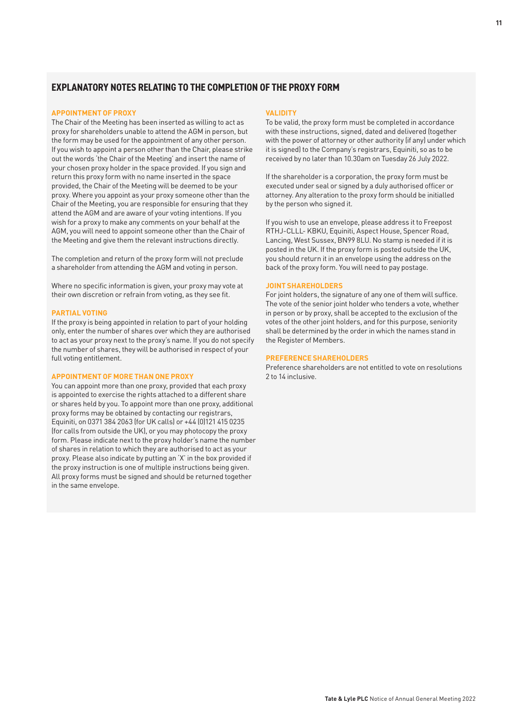#### **EXPLANATORY NOTES RELATING TO THE COMPLETION OF THE PROXY FORM**

#### **APPOINTMENT OF PROXY**

The Chair of the Meeting has been inserted as willing to act as proxy for shareholders unable to attend the AGM in person, but the form may be used for the appointment of any other person. If you wish to appoint a person other than the Chair, please strike out the words 'the Chair of the Meeting' and insert the name of your chosen proxy holder in the space provided. If you sign and return this proxy form with no name inserted in the space provided, the Chair of the Meeting will be deemed to be your proxy. Where you appoint as your proxy someone other than the Chair of the Meeting, you are responsible for ensuring that they attend the AGM and are aware of your voting intentions. If you wish for a proxy to make any comments on your behalf at the AGM, you will need to appoint someone other than the Chair of the Meeting and give them the relevant instructions directly.

The completion and return of the proxy form will not preclude a shareholder from attending the AGM and voting in person.

Where no specific information is given, your proxy may vote at their own discretion or refrain from voting, as they see fit.

#### **PARTIAL VOTING**

If the proxy is being appointed in relation to part of your holding only, enter the number of shares over which they are authorised to act as your proxy next to the proxy's name. If you do not specify the number of shares, they will be authorised in respect of your full voting entitlement.

#### **APPOINTMENT OF MORE THAN ONE PROXY**

You can appoint more than one proxy, provided that each proxy is appointed to exercise the rights attached to a different share or shares held by you. To appoint more than one proxy, additional proxy forms may be obtained by contacting our registrars. Equiniti, on 0371 384 2063 (for UK calls) or +44 (0)121 415 0235 (for calls from outside the UK), or you may photocopy the proxy form. Please indicate next to the proxy holder's name the number of shares in relation to which they are authorised to act as your proxy. Please also indicate by putting an 'X' in the box provided if the proxy instruction is one of multiple instructions being given. All proxy forms must be signed and should be returned together in the same envelope.

#### **VALIDITY**

To be valid, the proxy form must be completed in accordance with these instructions, signed, dated and delivered (together with the power of attorney or other authority (if any) under which it is signed) to the Company's registrars, Equiniti, so as to be received by no later than 10.30am on Tuesday 26 July 2022.

If the shareholder is a corporation, the proxy form must be executed under seal or signed by a duly authorised officer or attorney. Any alteration to the proxy form should be initialled by the person who signed it.

If you wish to use an envelope, please address it to Freepost RTHJ-CLLL- KBKU, Equiniti, Aspect House, Spencer Road, Lancing, West Sussex, BN99 8LU. No stamp is needed if it is posted in the UK. If the proxy form is posted outside the UK, you should return it in an envelope using the address on the back of the proxy form. You will need to pay postage.

#### **JOINT SHAREHOLDERS**

For joint holders, the signature of any one of them will suffice. The vote of the senior joint holder who tenders a vote, whether in person or by proxy, shall be accepted to the exclusion of the votes of the other joint holders, and for this purpose, seniority shall be determined by the order in which the names stand in the Register of Members.

#### **PREFERENCE SHAREHOLDERS**

Preference shareholders are not entitled to vote on resolutions 2 to 14 inclusive.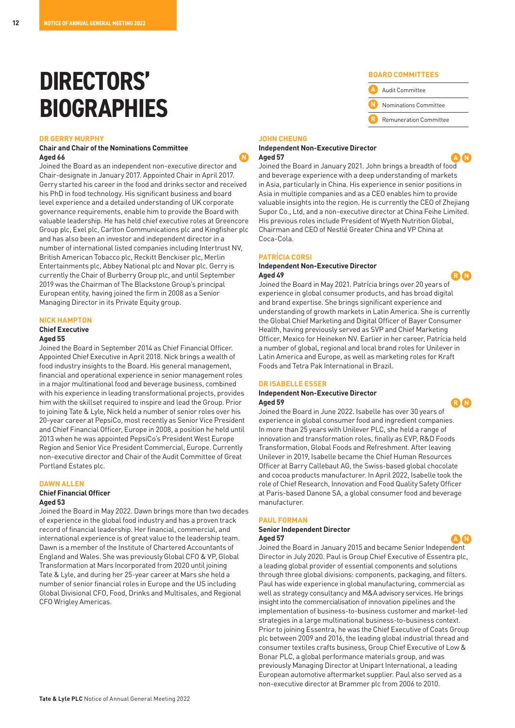### **DIRECTORS' BIOGRAPHIES**

#### **DR GERRY MURPHY**

#### **Chair and Chair of the Nominations Committee Aged 66 N**

Joined the Board as an independent non-executive director and Chair-designate in January 2017. Appointed Chair in April 2017. Gerry started his career in the food and drinks sector and received his PhD in food technology. His significant business and board level experience and a detailed understanding of UK corporate governance requirements, enable him to provide the Board with valuable leadership. He has held chief executive roles at Greencore Group plc, Exel plc, Carlton Communications plc and Kingfisher plc and has also been an investor and independent director in a number of international listed companies including Intertrust NV, British American Tobacco plc, Reckitt Benckiser plc, Merlin Entertainments plc, Abbey National plc and Novar plc. Gerry is currently the Chair of Burberry Group plc, and until September 2019 was the Chairman of The Blackstone Group's principal European entity, having joined the firm in 2008 as a Senior Managing Director in its Private Equity group.

#### **NICK HAMPTON**

**Chief Executive** 

#### **Aged 55**

Joined the Board in September 2014 as Chief Financial Officer. Appointed Chief Executive in April 2018. Nick brings a wealth of food industry insights to the Board. His general management, financial and operational experience in senior management roles in a major multinational food and beverage business, combined with his experience in leading transformational projects, provides him with the skillset required to inspire and lead the Group. Prior to joining Tate & Lyle, Nick held a number of senior roles over his 20-year career at PepsiCo, most recently as Senior Vice President and Chief Financial Officer, Europe in 2008, a position he held until 2013 when he was appointed PepsiCo's President West Europe Region and Senior Vice President Commercial, Europe. Currently non-executive director and Chair of the Audit Committee of Great Portland Estates plc.

#### **DAWN ALLEN**

**Chief Financial Officer**

#### **Aged 53**

Joined the Board in May 2022. Dawn brings more than two decades of experience in the global food industry and has a proven track record of financial leadership. Her financial, commercial, and international experience is of great value to the leadership team. Dawn is a member of the Institute of Chartered Accountants of England and Wales. She was previously Global CFO & VP, Global Transformation at Mars Incorporated from 2020 until joining Tate & Lyle, and during her 25-year career at Mars she held a number of senior financial roles in Europe and the US including Global Divisional CFO, Food, Drinks and Multisales, and Regional CFO Wrigley Americas.

and brand expertise. She brings significant experience and understanding of growth markets in Latin America. She is currently the Global Chief Marketing and Digital Officer of Bayer Consumer Health, having previously served as SVP and Chief Marketing Officer, Mexico for Heineken NV. Earlier in her career, Patrícia held a number of global, regional and local brand roles for Unilever in Latin America and Europe, as well as marketing roles for Kraft

#### **DR ISABELLE ESSER**

#### **Independent Non-Executive Director Aged 59 R N**

#### **BOARD COMMITTEES**

- **A** Audit Committee
- **N** Nominations Committee
- **R** Remuneration Committee

#### **JOHN CHEUNG Independent Non-Executive Director Aged 57 A N**

Joined the Board in January 2021. John brings a breadth of food and beverage experience with a deep understanding of markets in Asia, particularly in China. His experience in senior positions in Asia in multiple companies and as a CEO enables him to provide valuable insights into the region. He is currently the CEO of Zhejiang Supor Co., Ltd, and a non-executive director at China Feihe Limited. His previous roles include President of Wyeth Nutrition Global, Chairman and CEO of Nestlé Greater China and VP China at Coca-Cola.

#### **PATRÍCIA CORSI**

#### **Independent Non-Executive Director Aged 49 R N**

Joined the Board in May 2021. Patrícia brings over 20 years of experience in global consumer products, and has broad digital Foods and Tetra Pak International in Brazil.

Joined the Board in June 2022. Isabelle has over 30 years of experience in global consumer food and ingredient companies. In more than 25 years with Unilever PLC, she held a range of innovation and transformation roles, finally as EVP, R&D Foods Transformation, Global Foods and Refreshment. After leaving Unilever in 2019, Isabelle became the Chief Human Resources Officer at Barry Callebaut AG, the Swiss-based global chocolate and cocoa products manufacturer. In April 2022, Isabelle took the role of Chief Research, Innovation and Food Quality Safety Officer at Paris-based Danone SA, a global consumer food and beverage manufacturer.

#### **PAUL FORMAN**

#### **Senior Independent Director Aged 57 A N**

Joined the Board in January 2015 and became Senior Independent Director in July 2020. Paul is Group Chief Executive of Essentra plc, a leading global provider of essential components and solutions through three global divisions: components, packaging, and filters. Paul has wide experience in global manufacturing, commercial as well as strategy consultancy and M&A advisory services. He brings insight into the commercialisation of innovation pipelines and the implementation of business-to-business customer and market-led strategies in a large multinational business-to-business context. Prior to joining Essentra, he was the Chief Executive of Coats Group plc between 2009 and 2016, the leading global industrial thread and consumer textiles crafts business, Group Chief Executive of Low & Bonar PLC, a global performance materials group, and was previously Managing Director at Unipart International, a leading European automotive aftermarket supplier. Paul also served as a non-executive director at Brammer plc from 2006 to 2010.

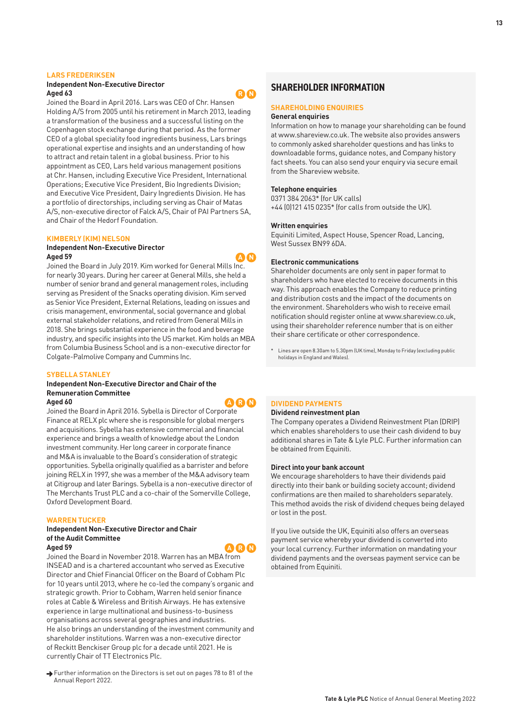#### **LARS FREDERIKSEN**

#### **Independent Non-Executive Director Aged 63 R N**

Joined the Board in April 2016. Lars was CEO of Chr. Hansen Holding A/S from 2005 until his retirement in March 2013, leading a transformation of the business and a successful listing on the Copenhagen stock exchange during that period. As the former CEO of a global speciality food ingredients business, Lars brings operational expertise and insights and an understanding of how to attract and retain talent in a global business. Prior to his appointment as CEO, Lars held various management positions at Chr. Hansen, including Executive Vice President, International Operations; Executive Vice President, Bio Ingredients Division; and Executive Vice President, Dairy Ingredients Division. He has a portfolio of directorships, including serving as Chair of Matas A/S, non-executive director of Falck A/S, Chair of PAI Partners SA, and Chair of the Hedorf Foundation.

#### **KIMBERLY (KIM) NELSON**

#### **Independent Non-Executive Director Aged 59 A N**

Joined the Board in July 2019. Kim worked for General Mills Inc. for nearly 30 years. During her career at General Mills, she held a number of senior brand and general management roles, including serving as President of the Snacks operating division. Kim served as Senior Vice President, External Relations, leading on issues and crisis management, environmental, social governance and global external stakeholder relations, and retired from General Mills in 2018. She brings substantial experience in the food and beverage industry, and specific insights into the US market. Kim holds an MBA from Columbia Business School and is a non-executive director for Colgate-Palmolive Company and Cummins Inc.

#### **SYBELLA STANLEY**

### **Independent Non-Executive Director and Chair of the Remuneration Committee**

Joined the Board in April 2016. Sybella is Director of Corporate Finance at RELX plc where she is responsible for global mergers and acquisitions. Sybella has extensive commercial and financial experience and brings a wealth of knowledge about the London investment community. Her long career in corporate finance and M&A is invaluable to the Board's consideration of strategic opportunities. Sybella originally qualified as a barrister and before joining RELX in 1997, she was a member of the M&A advisory team at Citigroup and later Barings. Sybella is a non-executive director of The Merchants Trust PLC and a co-chair of the Somerville College, Oxford Development Board.

#### **WARREN TUCKER**

#### **Independent Non-Executive Director and Chair of the Audit Committee Aged 59 Aged 59 A R A R A R A R A**

Joined the Board in November 2018. Warren has an MBA from INSEAD and is a chartered accountant who served as Executive Director and Chief Financial Officer on the Board of Cobham Plc for 10 years until 2013, where he co-led the company's organic and strategic growth. Prior to Cobham, Warren held senior finance roles at Cable & Wireless and British Airways. He has extensive experience in large multinational and business-to-business organisations across several geographies and industries. He also brings an understanding of the investment community and shareholder institutions. Warren was a non-executive director of Reckitt Benckiser Group plc for a decade until 2021. He is currently Chair of TT Electronics Plc.

→ Further information on the Directors is set out on pages 78 to 81 of the Annual Report 2022.

#### **SHARFHOLDER INFORMATION**

#### **SHAREHOLDING ENQUIRIES**

#### **General enquiries**

Information on how to manage your shareholding can be found at www.shareview.co.uk. The website also provides answers to commonly asked shareholder questions and has links to downloadable forms, guidance notes, and Company history fact sheets. You can also send your enquiry via secure email from the Shareview website.

#### **Telephone enquiries**

0371 384 2063\* (for UK calls) +44 (0)121 415 0235\* (for calls from outside the UK).

#### **Written enquiries**

Equiniti Limited, Aspect House, Spencer Road, Lancing, West Sussex BN99 6DA.

#### **Electronic communications**

Shareholder documents are only sent in paper format to shareholders who have elected to receive documents in this way. This approach enables the Company to reduce printing and distribution costs and the impact of the documents on the environment. Shareholders who wish to receive email notification should register online at www.shareview.co.uk, using their shareholder reference number that is on either their share certificate or other correspondence.

Lines are open 8.30am to 5.30pm (UK time), Monday to Friday (excluding public holidays in England and Wales).

#### **DIVIDEND PAYMENTS**

#### **Dividend reinvestment plan**

The Company operates a Dividend Reinvestment Plan (DRIP) which enables shareholders to use their cash dividend to buy additional shares in Tate & Lyle PLC. Further information can be obtained from Equiniti.

#### **Direct into your bank account**

We encourage shareholders to have their dividends paid directly into their bank or building society account; dividend confirmations are then mailed to shareholders separately. This method avoids the risk of dividend cheques being delayed or lost in the post.

If you live outside the UK, Equiniti also offers an overseas payment service whereby your dividend is converted into your local currency. Further information on mandating your dividend payments and the overseas payment service can be obtained from Equiniti.



**Aged 60 A R N**